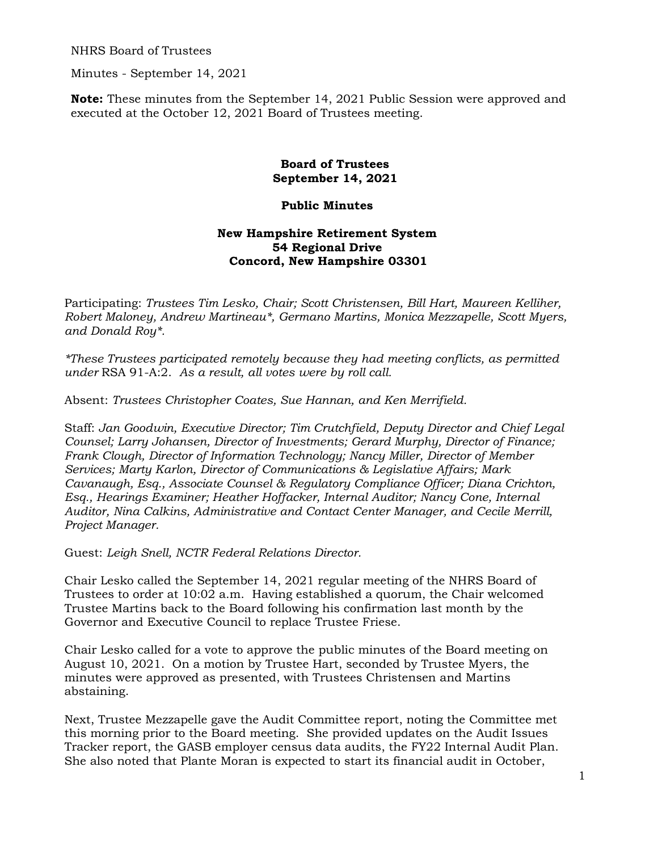NHRS Board of Trustees

Minutes - September 14, 2021

**Note:** These minutes from the September 14, 2021 Public Session were approved and executed at the October 12, 2021 Board of Trustees meeting.

## **Board of Trustees September 14, 2021**

## **Public Minutes**

## **New Hampshire Retirement System 54 Regional Drive Concord, New Hampshire 03301**

Participating: *Trustees Tim Lesko, Chair; Scott Christensen, Bill Hart, Maureen Kelliher, Robert Maloney, Andrew Martineau\*, Germano Martins, Monica Mezzapelle, Scott Myers, and Donald Roy\*.* 

*\*These Trustees participated remotely because they had meeting conflicts, as permitted under* RSA 91-A:2. *As a result, all votes were by roll call.* 

Absent: *Trustees Christopher Coates, Sue Hannan, and Ken Merrifield.* 

Staff: *Jan Goodwin, Executive Director; Tim Crutchfield, Deputy Director and Chief Legal Counsel; Larry Johansen, Director of Investments; Gerard Murphy, Director of Finance; Frank Clough, Director of Information Technology; Nancy Miller, Director of Member Services; Marty Karlon, Director of Communications & Legislative Affairs; Mark Cavanaugh, Esq., Associate Counsel & Regulatory Compliance Officer; Diana Crichton, Esq., Hearings Examiner; Heather Hoffacker, Internal Auditor; Nancy Cone, Internal Auditor, Nina Calkins, Administrative and Contact Center Manager, and Cecile Merrill, Project Manager.* 

Guest: *Leigh Snell, NCTR Federal Relations Director.* 

Chair Lesko called the September 14, 2021 regular meeting of the NHRS Board of Trustees to order at 10:02 a.m. Having established a quorum, the Chair welcomed Trustee Martins back to the Board following his confirmation last month by the Governor and Executive Council to replace Trustee Friese.

Chair Lesko called for a vote to approve the public minutes of the Board meeting on August 10, 2021. On a motion by Trustee Hart, seconded by Trustee Myers, the minutes were approved as presented, with Trustees Christensen and Martins abstaining.

Next, Trustee Mezzapelle gave the Audit Committee report, noting the Committee met this morning prior to the Board meeting. She provided updates on the Audit Issues Tracker report, the GASB employer census data audits, the FY22 Internal Audit Plan. She also noted that Plante Moran is expected to start its financial audit in October,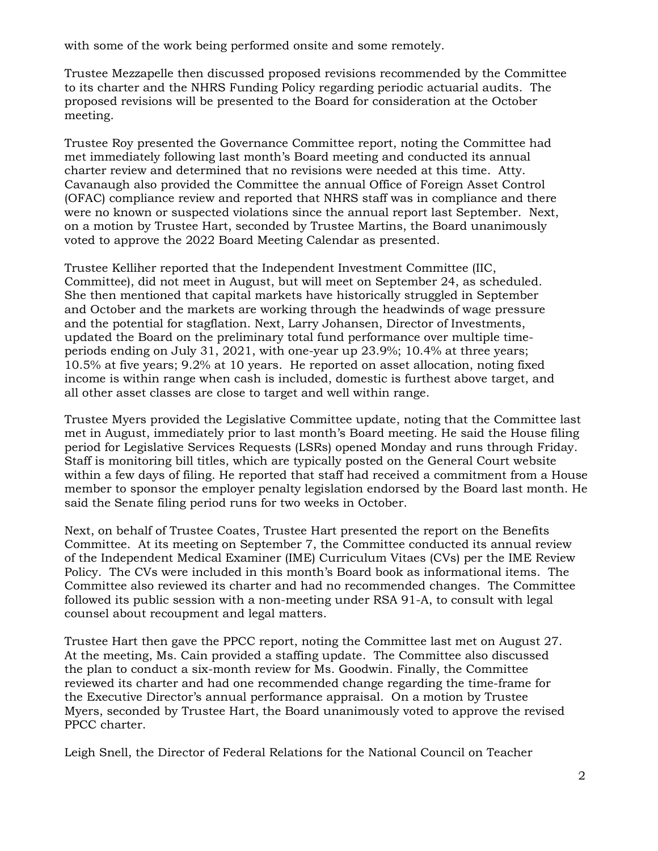with some of the work being performed onsite and some remotely.

Trustee Mezzapelle then discussed proposed revisions recommended by the Committee to its charter and the NHRS Funding Policy regarding periodic actuarial audits. The proposed revisions will be presented to the Board for consideration at the October meeting.

Trustee Roy presented the Governance Committee report, noting the Committee had met immediately following last month's Board meeting and conducted its annual charter review and determined that no revisions were needed at this time. Atty. Cavanaugh also provided the Committee the annual Office of Foreign Asset Control (OFAC) compliance review and reported that NHRS staff was in compliance and there were no known or suspected violations since the annual report last September. Next, on a motion by Trustee Hart, seconded by Trustee Martins, the Board unanimously voted to approve the 2022 Board Meeting Calendar as presented.

Trustee Kelliher reported that the Independent Investment Committee (IIC, Committee), did not meet in August, but will meet on September 24, as scheduled. She then mentioned that capital markets have historically struggled in September and October and the markets are working through the headwinds of wage pressure and the potential for stagflation. Next, Larry Johansen, Director of Investments, updated the Board on the preliminary total fund performance over multiple timeperiods ending on July 31, 2021, with one-year up 23.9%; 10.4% at three years; 10.5% at five years; 9.2% at 10 years. He reported on asset allocation, noting fixed income is within range when cash is included, domestic is furthest above target, and all other asset classes are close to target and well within range.

Trustee Myers provided the Legislative Committee update, noting that the Committee last met in August, immediately prior to last month's Board meeting. He said the House filing period for Legislative Services Requests (LSRs) opened Monday and runs through Friday. Staff is monitoring bill titles, which are typically posted on the General Court website within a few days of filing. He reported that staff had received a commitment from a House member to sponsor the employer penalty legislation endorsed by the Board last month. He said the Senate filing period runs for two weeks in October.

Next, on behalf of Trustee Coates, Trustee Hart presented the report on the Benefits Committee. At its meeting on September 7, the Committee conducted its annual review of the Independent Medical Examiner (IME) Curriculum Vitaes (CVs) per the IME Review Policy. The CVs were included in this month's Board book as informational items. The Committee also reviewed its charter and had no recommended changes. The Committee followed its public session with a non-meeting under RSA 91-A, to consult with legal counsel about recoupment and legal matters.

Trustee Hart then gave the PPCC report, noting the Committee last met on August 27. At the meeting, Ms. Cain provided a staffing update. The Committee also discussed the plan to conduct a six-month review for Ms. Goodwin. Finally, the Committee reviewed its charter and had one recommended change regarding the time-frame for the Executive Director's annual performance appraisal. On a motion by Trustee Myers, seconded by Trustee Hart, the Board unanimously voted to approve the revised PPCC charter.

Leigh Snell, the Director of Federal Relations for the National Council on Teacher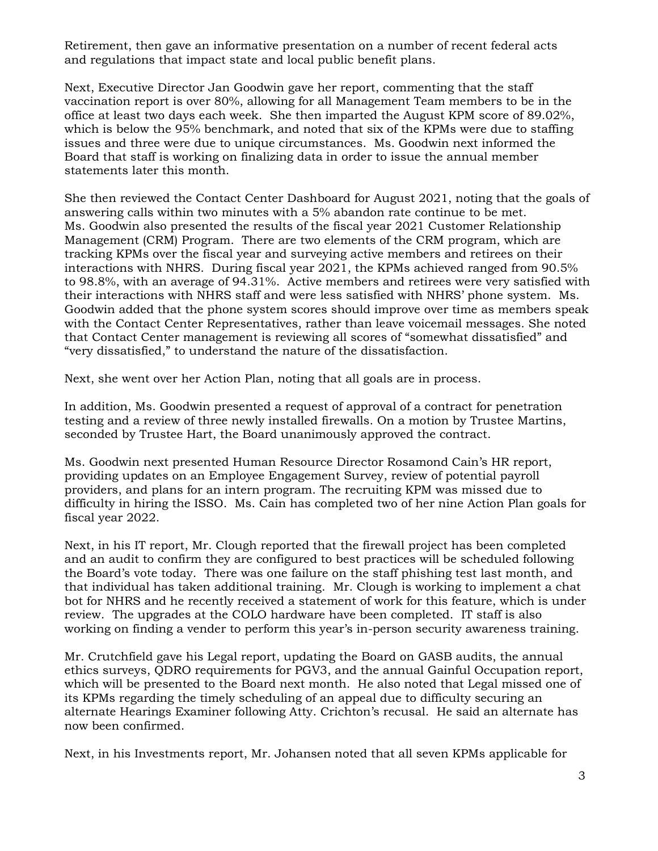Retirement, then gave an informative presentation on a number of recent federal acts and regulations that impact state and local public benefit plans.

Next, Executive Director Jan Goodwin gave her report, commenting that the staff vaccination report is over 80%, allowing for all Management Team members to be in the office at least two days each week. She then imparted the August KPM score of 89.02%, which is below the 95% benchmark, and noted that six of the KPMs were due to staffing issues and three were due to unique circumstances. Ms. Goodwin next informed the Board that staff is working on finalizing data in order to issue the annual member statements later this month.

She then reviewed the Contact Center Dashboard for August 2021, noting that the goals of answering calls within two minutes with a 5% abandon rate continue to be met. Ms. Goodwin also presented the results of the fiscal year 2021 Customer Relationship Management (CRM) Program. There are two elements of the CRM program, which are tracking KPMs over the fiscal year and surveying active members and retirees on their interactions with NHRS. During fiscal year 2021, the KPMs achieved ranged from 90.5% to 98.8%, with an average of 94.31%. Active members and retirees were very satisfied with their interactions with NHRS staff and were less satisfied with NHRS' phone system. Ms. Goodwin added that the phone system scores should improve over time as members speak with the Contact Center Representatives, rather than leave voicemail messages. She noted that Contact Center management is reviewing all scores of "somewhat dissatisfied" and "very dissatisfied," to understand the nature of the dissatisfaction.

Next, she went over her Action Plan, noting that all goals are in process.

In addition, Ms. Goodwin presented a request of approval of a contract for penetration testing and a review of three newly installed firewalls. On a motion by Trustee Martins, seconded by Trustee Hart, the Board unanimously approved the contract.

Ms. Goodwin next presented Human Resource Director Rosamond Cain's HR report, providing updates on an Employee Engagement Survey, review of potential payroll providers, and plans for an intern program. The recruiting KPM was missed due to difficulty in hiring the ISSO. Ms. Cain has completed two of her nine Action Plan goals for fiscal year 2022.

Next, in his IT report, Mr. Clough reported that the firewall project has been completed and an audit to confirm they are configured to best practices will be scheduled following the Board's vote today. There was one failure on the staff phishing test last month, and that individual has taken additional training. Mr. Clough is working to implement a chat bot for NHRS and he recently received a statement of work for this feature, which is under review. The upgrades at the COLO hardware have been completed. IT staff is also working on finding a vender to perform this year's in-person security awareness training.

Mr. Crutchfield gave his Legal report, updating the Board on GASB audits, the annual ethics surveys, QDRO requirements for PGV3, and the annual Gainful Occupation report, which will be presented to the Board next month. He also noted that Legal missed one of its KPMs regarding the timely scheduling of an appeal due to difficulty securing an alternate Hearings Examiner following Atty. Crichton's recusal. He said an alternate has now been confirmed.

Next, in his Investments report, Mr. Johansen noted that all seven KPMs applicable for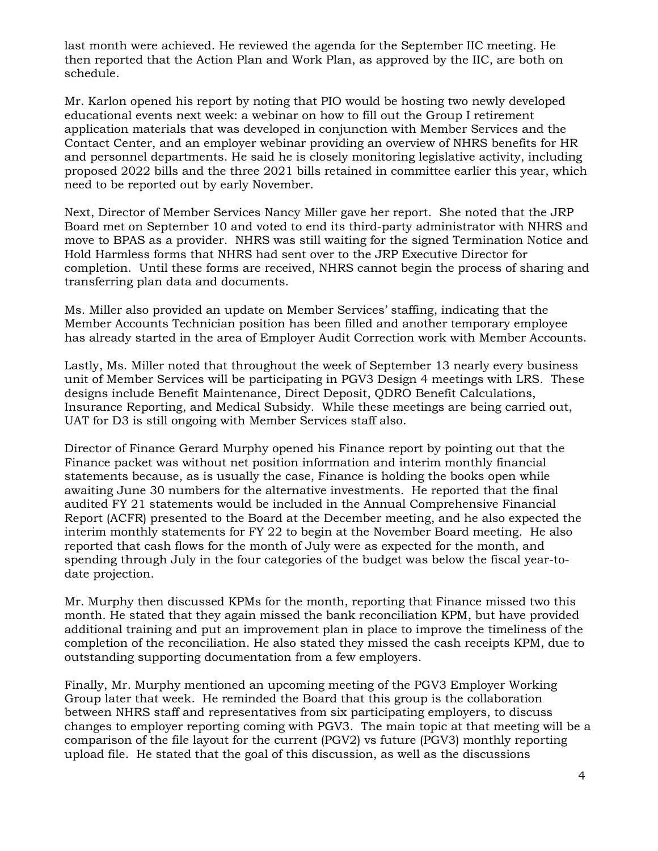last month were achieved. He reviewed the agenda for the September IIC meeting. He then reported that the Action Plan and Work Plan, as approved by the IIC, are both on schedule.

Mr. Karlon opened his report by noting that PIO would be hosting two newly developed educational events next week: a webinar on how to fill out the Group I retirement application materials that was developed in conjunction with Member Services and the Contact Center, and an employer webinar providing an overview of NHRS benefits for HR and personnel departments. He said he is closely monitoring legislative activity, including proposed 2022 bills and the three 2021 bills retained in committee earlier this year, which need to be reported out by early November.

Next, Director of Member Services Nancy Miller gave her report. She noted that the JRP Board met on September 10 and voted to end its third-party administrator with NHRS and move to BPAS as a provider. NHRS was still waiting for the signed Termination Notice and Hold Harmless forms that NHRS had sent over to the JRP Executive Director for completion. Until these forms are received, NHRS cannot begin the process of sharing and transferring plan data and documents.

Ms. Miller also provided an update on Member Services' staffing, indicating that the Member Accounts Technician position has been filled and another temporary employee has already started in the area of Employer Audit Correction work with Member Accounts.

Lastly, Ms. Miller noted that throughout the week of September 13 nearly every business unit of Member Services will be participating in PGV3 Design 4 meetings with LRS. These designs include Benefit Maintenance, Direct Deposit, QDRO Benefit Calculations, Insurance Reporting, and Medical Subsidy. While these meetings are being carried out, UAT for D3 is still ongoing with Member Services staff also.

Director of Finance Gerard Murphy opened his Finance report by pointing out that the Finance packet was without net position information and interim monthly financial statements because, as is usually the case, Finance is holding the books open while awaiting June 30 numbers for the alternative investments. He reported that the final audited FY 21 statements would be included in the Annual Comprehensive Financial Report (ACFR) presented to the Board at the December meeting, and he also expected the interim monthly statements for FY 22 to begin at the November Board meeting. He also reported that cash flows for the month of July were as expected for the month, and spending through July in the four categories of the budget was below the fiscal year-todate projection.

Mr. Murphy then discussed KPMs for the month, reporting that Finance missed two this month. He stated that they again missed the bank reconciliation KPM, but have provided additional training and put an improvement plan in place to improve the timeliness of the completion of the reconciliation. He also stated they missed the cash receipts KPM, due to outstanding supporting documentation from a few employers.

Finally, Mr. Murphy mentioned an upcoming meeting of the PGV3 Employer Working Group later that week. He reminded the Board that this group is the collaboration between NHRS staff and representatives from six participating employers, to discuss changes to employer reporting coming with PGV3. The main topic at that meeting will be a comparison of the file layout for the current (PGV2) vs future (PGV3) monthly reporting upload file. He stated that the goal of this discussion, as well as the discussions